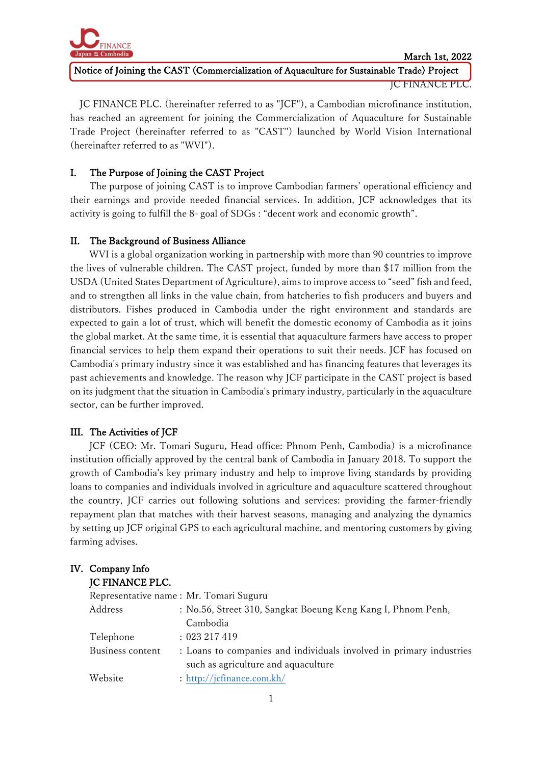

Notice of Joining the CAST (Commercialization of Aquaculture for Sustainable Trade) Project

JC FINANCE PLC.

JC FINANCE PLC. (hereinafter referred to as "JCF"), a Cambodian microfinance institution, has reached an agreement for joining the Commercialization of Aquaculture for Sustainable Trade Project (hereinafter referred to as "CAST") launched by World Vision International (hereinafter referred to as "WVI").

# I. The Purpose of Joining the CAST Project

The purpose of joining CAST is to improve Cambodian farmers' operational efficiency and their earnings and provide needed financial services. In addition, JCF acknowledges that its activity is going to fulfill the  $8<sup>th</sup>$  goal of SDGs : "decent work and economic growth".

# II. The Background of Business Alliance

WVI is a global organization working in partnership with more than 90 countries to improve the lives of vulnerable children. The CAST project, funded by more than \$17 million from the USDA (United States Department of Agriculture), aims to improve access to "seed" fish and feed, and to strengthen all links in the value chain, from hatcheries to fish producers and buyers and distributors. Fishes produced in Cambodia under the right environment and standards are expected to gain a lot of trust, which will benefit the domestic economy of Cambodia as it joins the global market. At the same time, it is essential that aquaculture farmers have access to proper financial services to help them expand their operations to suit their needs. JCF has focused on Cambodia's primary industry since it was established and has financing features that leverages its past achievements and knowledge. The reason why JCF participate in the CAST project is based on its judgment that the situation in Cambodia's primary industry, particularly in the aquaculture sector, can be further improved.

# III. The Activities of JCF

JCF (CEO: Mr. Tomari Suguru, Head office: Phnom Penh, Cambodia) is a microfinance institution officially approved by the central bank of Cambodia in January 2018. To support the growth of Cambodia's key primary industry and help to improve living standards by providing loans to companies and individuals involved in agriculture and aquaculture scattered throughout the country, JCF carries out following solutions and services: providing the farmer-friendly repayment plan that matches with their harvest seasons, managing and analyzing the dynamics by setting up JCF original GPS to each agricultural machine, and mentoring customers by giving farming advises.

### IV. Company Info JC FINANCE PLC.

|                  | Representative name: Mr. Tomari Suguru                              |
|------------------|---------------------------------------------------------------------|
| Address          | : No.56, Street 310, Sangkat Boeung Keng Kang I, Phnom Penh,        |
|                  | Cambodia                                                            |
| Telephone        | : 023217419                                                         |
| Business content | : Loans to companies and individuals involved in primary industries |
|                  | such as agriculture and aquaculture                                 |
| Website          | : http://jcfinance.com.kh/                                          |